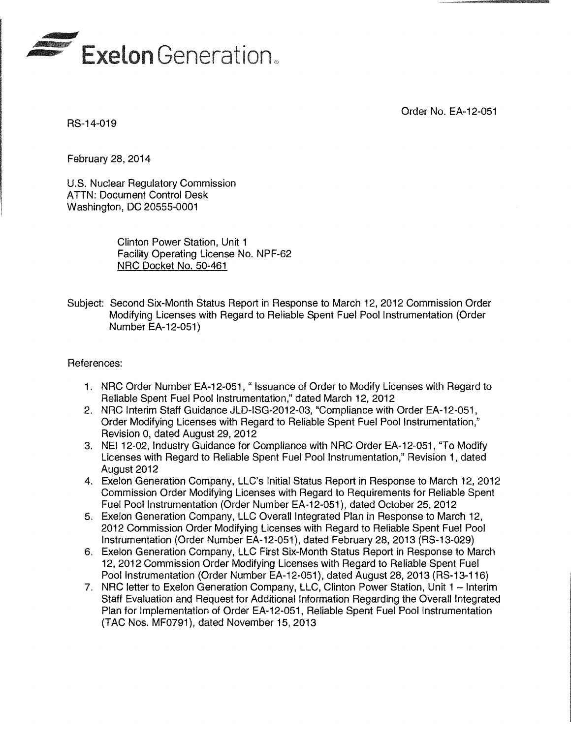

Order No. EA-12-051

RS-14-019

February 28, 2014

U.S. Nuclear Regulatory Commission ATTN: Document Control Desk Washington, DC 20555-0001

> Clinton Power Station, Unit 1 Facility Operating License No. NPF-62 NRC Docket No. 50-461

Subject: Second Six-Month Status Report in Response to March 12, 2012 Commission Order Modifying Licenses with Regard to Reliable Spent Fuel Pool Instrumentation (Order Number EA-12-051}

#### References:

- 1. NRC Order Number EA-12-051, " Issuance of Order to Modify Licenses with Regard to Reliable Spent Fuel Pool Instrumentation," dated March 12, 2012
- 2. NRC Interim Staff Guidance JLD-ISG-2012-03, "Compliance with Order EA-12-051, Order Modifying Licenses with Regard to Reliable Spent Fuel Pool Instrumentation," Revision 0, dated August 29, 2012
- 3. NEI12-02, Industry Guidance for Compliance with NRC Order EA-12-051, "To Modify Licenses with Regard to Reliable Spent Fuel Pool Instrumentation," Revision 1, dated August 2012
- 4. Exelon Generation Company, LLC's Initial Status Report in Response to March 12, 2012 Commission Order Modifying Licenses with Regard to Requirements for Reliable Spent Fuel Pool Instrumentation (Order Number EA-12-051}, dated October 25,2012
- 5. Exelon Generation Company, LLC Overall Integrated Plan in Response to March 12, 2012 Commission Order Modifying Licenses with Regard to Reliable Spent Fuel Pool Instrumentation (Order Number EA-12-051), dated February 28,2013 (RS-13-029}
- 6. Exelon Generation Company, LLC First Six-Month Status Report in Response to March 12,2012 Commission Order Modifying Licenses with Regard to Reliable Spent Fuel Pool Instrumentation (Order Number EA-12-051), dated August 28,2013 (RS-13-116)
- 7. NRC letter to Exelon Generation Company, LLC, Clinton Power Station, Unit 1 Interim Staff Evaluation and Request for Additional Information Regarding the Overall Integrated Plan for Implementation of Order EA-12-051, Reliable Spent Fuel Pool Instrumentation (TAC Nos. MF0791), dated November 15,2013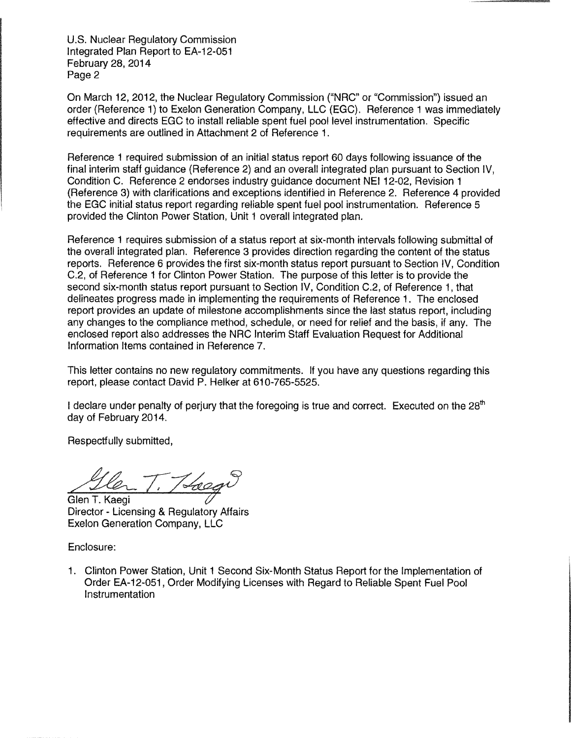U.S. Nuclear Regulatory Commission Integrated Plan Report to EA-12-051 February 28, 2014 Page 2

On March 12, 2012, the Nuclear Regulatory Commission ("NRC" or "Commission") issued an order (Reference 1) to Exelon Generation Company, LLC (EGC). Reference 1 was immediately effective and directs EGC to install reliable spent fuel pool level instrumentation. Specific requirements are outlined in Attachment 2 of Reference 1.

Reference 1 required submission of an initial status report 60 days following issuance of the final interim staff guidance (Reference 2) and an overall integrated plan pursuant to Section IV, Condition C. Reference 2 endorses industry guidance document NEI 12-02, Revision 1 (Reference 3) with clarifications and exceptions identified in Reference 2. Reference 4 provided the EGC initial status report regarding reliable spent fuel pool instrumentation. Reference 5 provided the Clinton Power Station, Unit 1 overall integrated plan.

Reference 1 requires submission of a status report at six-month intervals following submittal of the overall integrated plan. Reference 3 provides direction regarding the content of the status reports. Reference 6 provides the first six-month status report pursuant to Section IV, Condition C.2, of Reference 1 for Clinton Power Station. The purpose of this letter is to provide the second six-month status report pursuant to Section IV, Condition C.2, of Reference 1, that delineates progress made in implementing the requirements of Reference 1 . The enclosed report provides an update of milestone accomplishments since the last status report, including any changes to the compliance method, schedule, or need for relief and the basis, if any. The enclosed report also addresses the NRC Interim Staff Evaluation Request for Additional Information Items contained in Reference 7.

This letter contains no new regulatory commitments. If you have any questions regarding this report, please contact David P. Helker at 610-765-5525.

I declare under penalty of perjury that the foregoing is true and correct. Executed on the  $28<sup>th</sup>$ day of February 2014.

Respectfully submitted,

Glen T. Kaegi<br>Glen T. Kaegi<br>Director - Licensing & Regulatory Affairs

Exelon Generation Company, LLC

Enclosure:

1. Clinton Power Station, Unit 1 Second Six-Month Status Report for the Implementation of Order EA-12-051, Order Modifying Licenses with Regard to Reliable Spent Fuel Pool Instrumentation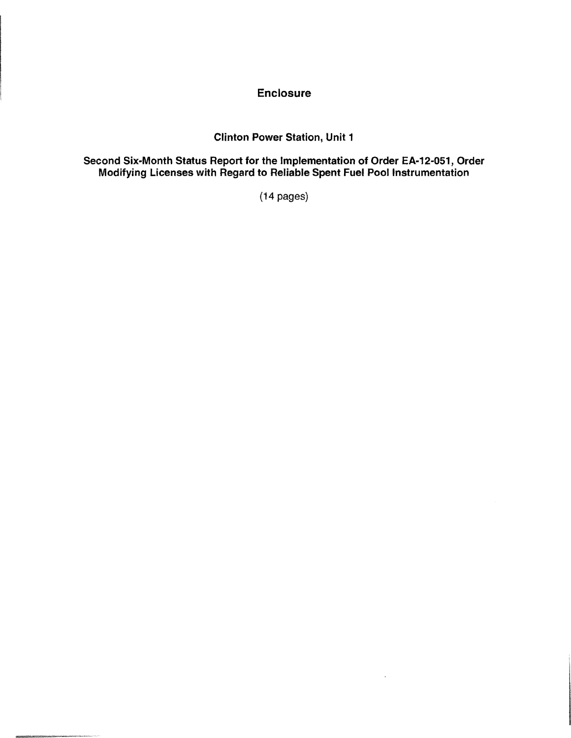## **Enclosure**

## Clinton Power Station, Unit 1

#### Second Six-Month Status Report for the Implementation of Order EA-12-051, Order Modifying Licenses with Regard to Reliable Spent Fuel Pool Instrumentation

(14 pages)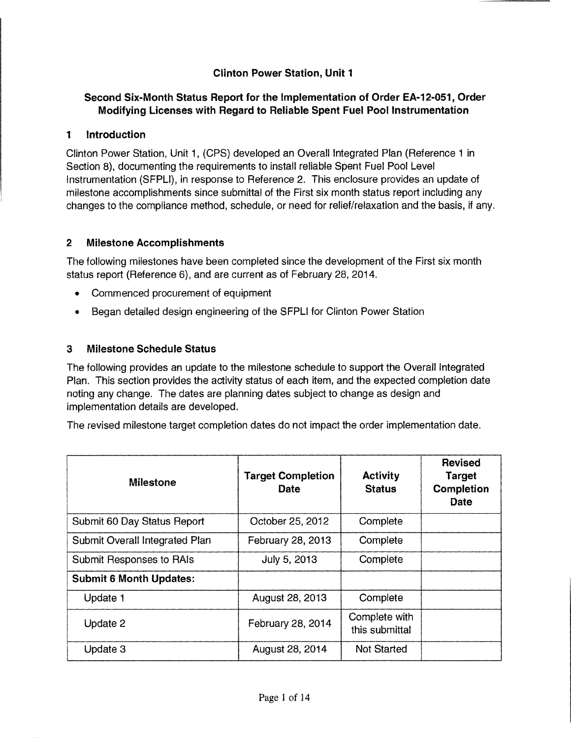# **Clinton Power Station, Unit 1**

### **Second Six-Month Status Report for the Implementation of Order EA-12-051, Order Modifying Licenses with Regard to Reliable Spent Fuel Pool Instrumentation**

### **1 Introduction**

Clinton Power Station, Unit 1, (CPS) developed an Overall Integrated Plan {Reference 1 in Section 8), documenting the requirements to install reliable Spent Fuel Pool Level Instrumentation (SFPLI), in response to Reference 2. This enclosure provides an update of milestone accomplishments since submittal of the First six month status report including any changes to the compliance method, schedule, or need for relief/relaxation and the basis, if any.

### **2 Milestone Accomplishments**

The following milestones have been completed since the development of the First six month status report (Reference 6), and are current as of February 28, 2014.

- Commenced procurement of equipment
- Began detailed design engineering of the SFPLI for Clinton Power Station

### **3 Milestone Schedule Status**

The following provides an update to the milestone schedule to support the Overall Integrated Plan. This section provides the activity status of each item, and the expected completion date noting any change. The dates are planning dates subject to change as design and implementation details are developed.

The revised milestone target completion dates do not impact the order implementation date.

| <b>Milestone</b>               | <b>Target Completion</b><br>Date | Activity<br><b>Status</b>       | <b>Revised</b><br><b>Target</b><br>Completion<br>Date |
|--------------------------------|----------------------------------|---------------------------------|-------------------------------------------------------|
| Submit 60 Day Status Report    | October 25, 2012                 | Complete                        |                                                       |
| Submit Overall Integrated Plan | February 28, 2013                | Complete                        |                                                       |
| Submit Responses to RAIs       | July 5, 2013                     | Complete                        |                                                       |
| <b>Submit 6 Month Updates:</b> |                                  |                                 |                                                       |
| Update 1                       | August 28, 2013                  | Complete                        |                                                       |
| Update 2                       | February 28, 2014                | Complete with<br>this submittal |                                                       |
| Update 3                       | August 28, 2014                  | <b>Not Started</b>              |                                                       |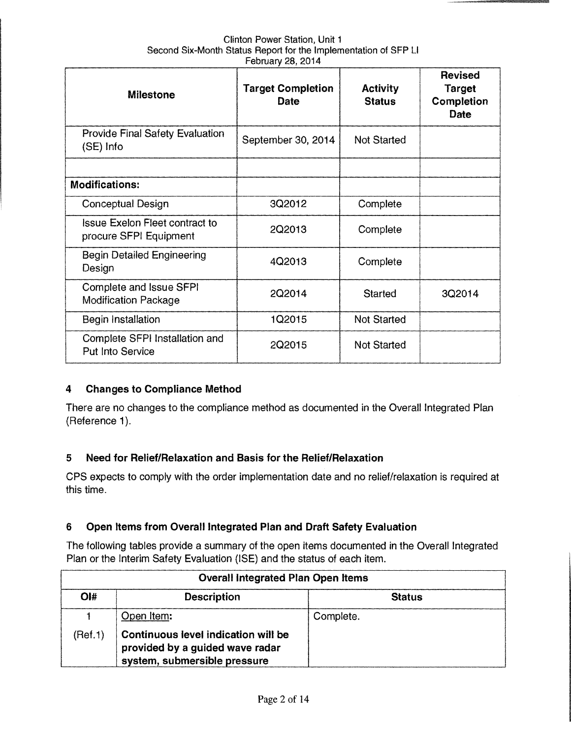| Clinton Power Station, Unit 1                                   |
|-----------------------------------------------------------------|
| Second Six-Month Status Report for the Implementation of SFP LI |
| February 28, 2014                                               |

| <b>Milestone</b>                                                | <b>Target Completion</b><br>Date | <b>Activity</b><br><b>Status</b> | <b>Revised</b><br><b>Target</b><br>Completion<br>Date |
|-----------------------------------------------------------------|----------------------------------|----------------------------------|-------------------------------------------------------|
| <b>Provide Final Safety Evaluation</b><br>(SE) Info             | September 30, 2014               | <b>Not Started</b>               |                                                       |
| <b>Modifications:</b>                                           |                                  |                                  |                                                       |
| <b>Conceptual Design</b>                                        | 3Q2012                           | Complete                         |                                                       |
| <b>Issue Exelon Fleet contract to</b><br>procure SFPI Equipment | 2Q2013                           | Complete                         |                                                       |
| <b>Begin Detailed Engineering</b><br>Design                     | 4Q2013                           | Complete                         |                                                       |
| Complete and Issue SFPI<br><b>Modification Package</b>          | 2Q2014                           | <b>Started</b>                   | 3Q2014                                                |
| Begin Installation                                              | 1Q2015                           | <b>Not Started</b>               |                                                       |
| Complete SFPI Installation and<br><b>Put Into Service</b>       | 2Q2015                           | <b>Not Started</b>               |                                                       |

### **4 Changes to Compliance Method**

There are no changes to the compliance method as documented in the Overall Integrated Plan (Reference 1).

# **5 Need for Relief/Relaxation and Basis for the Relief/Relaxation**

CPS expects to comply with the order implementation date and no relief/relaxation is required at this time.

### **6 Open Items from Overall Integrated Plan and Draft Safety Evaluation**

The following tables provide a summary of the open items documented in the Overall Integrated Plan or the Interim Safety Evaluation (ISE) and the status of each item.

| <b>Overall Integrated Plan Open Items</b> |                                                                                                        |               |  |
|-------------------------------------------|--------------------------------------------------------------------------------------------------------|---------------|--|
| Ol#                                       | <b>Description</b>                                                                                     | <b>Status</b> |  |
|                                           | Open Item:                                                                                             | Complete.     |  |
| (Ref.1)                                   | Continuous level indication will be<br>provided by a guided wave radar<br>system, submersible pressure |               |  |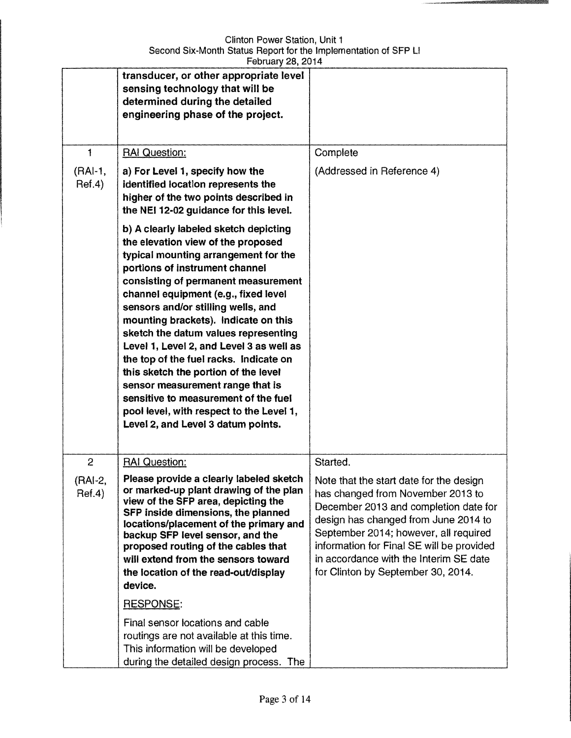|                                    | transducer, or other appropriate level<br>sensing technology that will be<br>determined during the detailed<br>engineering phase of the project.                                                                                                                                                                                                                                                                                                                                                                                                                                                                                                       |                                                                                                                                                                                                                                                                                                                                                 |
|------------------------------------|--------------------------------------------------------------------------------------------------------------------------------------------------------------------------------------------------------------------------------------------------------------------------------------------------------------------------------------------------------------------------------------------------------------------------------------------------------------------------------------------------------------------------------------------------------------------------------------------------------------------------------------------------------|-------------------------------------------------------------------------------------------------------------------------------------------------------------------------------------------------------------------------------------------------------------------------------------------------------------------------------------------------|
| 1                                  | <b>RAI Question:</b>                                                                                                                                                                                                                                                                                                                                                                                                                                                                                                                                                                                                                                   | Complete                                                                                                                                                                                                                                                                                                                                        |
| $(RAI-1,$<br>Ref.4)                | a) For Level 1, specify how the<br>identified location represents the<br>higher of the two points described in<br>the NEI 12-02 guidance for this level.                                                                                                                                                                                                                                                                                                                                                                                                                                                                                               | (Addressed in Reference 4)                                                                                                                                                                                                                                                                                                                      |
|                                    | b) A clearly labeled sketch depicting<br>the elevation view of the proposed<br>typical mounting arrangement for the<br>portions of instrument channel<br>consisting of permanent measurement<br>channel equipment (e.g., fixed level<br>sensors and/or stilling wells, and<br>mounting brackets). Indicate on this<br>sketch the datum values representing<br>Level 1, Level 2, and Level 3 as well as<br>the top of the fuel racks. Indicate on<br>this sketch the portion of the level<br>sensor measurement range that is<br>sensitive to measurement of the fuel<br>pool level, with respect to the Level 1,<br>Level 2, and Level 3 datum points. |                                                                                                                                                                                                                                                                                                                                                 |
| $\overline{c}$<br>(RAI-2<br>Ref.4) | <b>RAI Question:</b><br>Please provide a clearly labeled sketch<br>or marked-up plant drawing of the plan<br>view of the SFP area, depicting the<br>SFP inside dimensions, the planned<br>locations/placement of the primary and<br>backup SFP level sensor, and the<br>proposed routing of the cables that<br>will extend from the sensors toward<br>the location of the read-out/display<br>device.                                                                                                                                                                                                                                                  | Started.<br>Note that the start date for the design<br>has changed from November 2013 to<br>December 2013 and completion date for<br>design has changed from June 2014 to<br>September 2014; however, all required<br>information for Final SE will be provided<br>in accordance with the Interim SE date<br>for Clinton by September 30, 2014. |
|                                    | RESPONSE:                                                                                                                                                                                                                                                                                                                                                                                                                                                                                                                                                                                                                                              |                                                                                                                                                                                                                                                                                                                                                 |
|                                    | Final sensor locations and cable<br>routings are not available at this time.<br>This information will be developed<br>during the detailed design process. The                                                                                                                                                                                                                                                                                                                                                                                                                                                                                          |                                                                                                                                                                                                                                                                                                                                                 |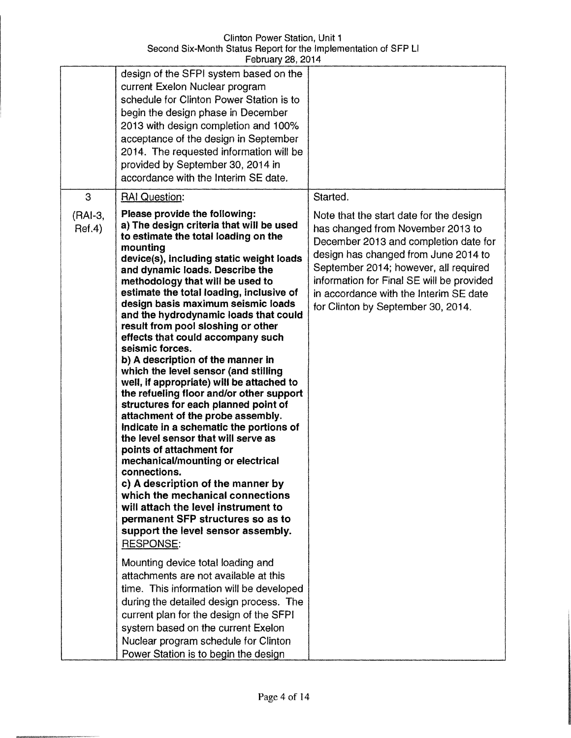|                   | $1$ GD $0$ at $y \not\equiv 0$ , $\pm 0$ $1$                                                                                                                                                                                                                                                                                                                                                                                                                                                                                                                                                                                                                                                                                                                                                                                                                                                                                                                                                                                                                                                                   |                                                                                                                                                                                                                                                                                                                                     |
|-------------------|----------------------------------------------------------------------------------------------------------------------------------------------------------------------------------------------------------------------------------------------------------------------------------------------------------------------------------------------------------------------------------------------------------------------------------------------------------------------------------------------------------------------------------------------------------------------------------------------------------------------------------------------------------------------------------------------------------------------------------------------------------------------------------------------------------------------------------------------------------------------------------------------------------------------------------------------------------------------------------------------------------------------------------------------------------------------------------------------------------------|-------------------------------------------------------------------------------------------------------------------------------------------------------------------------------------------------------------------------------------------------------------------------------------------------------------------------------------|
|                   | design of the SFPI system based on the<br>current Exelon Nuclear program<br>schedule for Clinton Power Station is to<br>begin the design phase in December<br>2013 with design completion and 100%<br>acceptance of the design in September<br>2014. The requested information will be<br>provided by September 30, 2014 in<br>accordance with the Interim SE date.                                                                                                                                                                                                                                                                                                                                                                                                                                                                                                                                                                                                                                                                                                                                            |                                                                                                                                                                                                                                                                                                                                     |
| 3                 | <b>RAI Question:</b>                                                                                                                                                                                                                                                                                                                                                                                                                                                                                                                                                                                                                                                                                                                                                                                                                                                                                                                                                                                                                                                                                           | Started.                                                                                                                                                                                                                                                                                                                            |
| (RAI-3,<br>Ref.4) | Please provide the following:<br>a) The design criteria that will be used<br>to estimate the total loading on the<br>mounting<br>device(s), including static weight loads<br>and dynamic loads. Describe the<br>methodology that will be used to<br>estimate the total loading, inclusive of<br>design basis maximum seismic loads<br>and the hydrodynamic loads that could<br>result from pool sloshing or other<br>effects that could accompany such<br>seismic forces.<br>b) A description of the manner in<br>which the level sensor (and stilling<br>well, if appropriate) will be attached to<br>the refueling floor and/or other support<br>structures for each planned point of<br>attachment of the probe assembly.<br>Indicate in a schematic the portions of<br>the level sensor that will serve as<br>points of attachment for<br>mechanical/mounting or electrical<br>connections.<br>c) A description of the manner by<br>which the mechanical connections<br>will attach the level instrument to<br>permanent SFP structures so as to<br>support the level sensor assembly.<br><b>RESPONSE:</b> | Note that the start date for the design<br>has changed from November 2013 to<br>December 2013 and completion date for<br>design has changed from June 2014 to<br>September 2014; however, all required<br>information for Final SE will be provided<br>in accordance with the Interim SE date<br>for Clinton by September 30, 2014. |
|                   | Mounting device total loading and<br>attachments are not available at this<br>time. This information will be developed<br>during the detailed design process. The<br>current plan for the design of the SFPI<br>system based on the current Exelon<br>Nuclear program schedule for Clinton<br>Power Station is to begin the design                                                                                                                                                                                                                                                                                                                                                                                                                                                                                                                                                                                                                                                                                                                                                                             |                                                                                                                                                                                                                                                                                                                                     |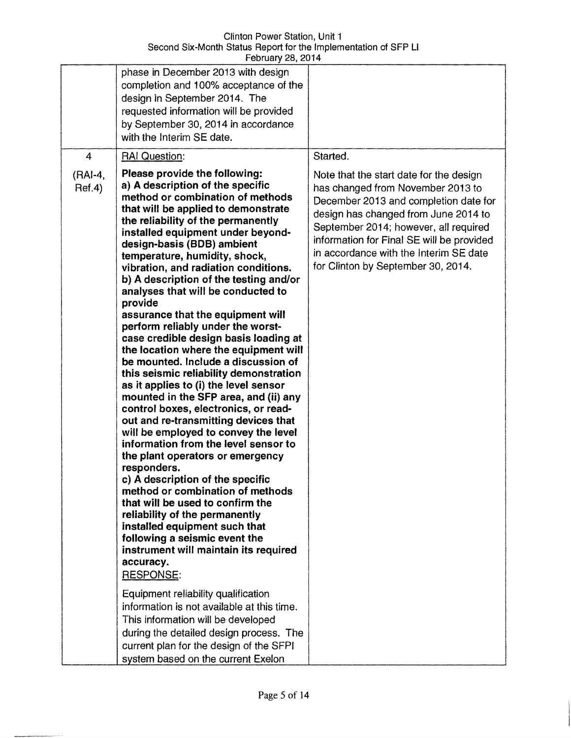|                   | r culualy zu, zu i +                                                                                                                                                                                                                                                                                                                                                                                                                                                                                                                                                                                                                                                                                                                                                                                                                                                                                                                                                                                                                                                                                                                                                                                                                                                  |                                                                                                                                                                                                                                                                                                                                     |
|-------------------|-----------------------------------------------------------------------------------------------------------------------------------------------------------------------------------------------------------------------------------------------------------------------------------------------------------------------------------------------------------------------------------------------------------------------------------------------------------------------------------------------------------------------------------------------------------------------------------------------------------------------------------------------------------------------------------------------------------------------------------------------------------------------------------------------------------------------------------------------------------------------------------------------------------------------------------------------------------------------------------------------------------------------------------------------------------------------------------------------------------------------------------------------------------------------------------------------------------------------------------------------------------------------|-------------------------------------------------------------------------------------------------------------------------------------------------------------------------------------------------------------------------------------------------------------------------------------------------------------------------------------|
|                   | phase in December 2013 with design<br>completion and 100% acceptance of the<br>design in September 2014. The<br>requested information will be provided<br>by September 30, 2014 in accordance<br>with the Interim SE date.                                                                                                                                                                                                                                                                                                                                                                                                                                                                                                                                                                                                                                                                                                                                                                                                                                                                                                                                                                                                                                            |                                                                                                                                                                                                                                                                                                                                     |
| $\overline{4}$    | <b>RAI Question:</b>                                                                                                                                                                                                                                                                                                                                                                                                                                                                                                                                                                                                                                                                                                                                                                                                                                                                                                                                                                                                                                                                                                                                                                                                                                                  | Started.                                                                                                                                                                                                                                                                                                                            |
| (RAI-4,<br>Ref.4) | Please provide the following:<br>a) A description of the specific<br>method or combination of methods<br>that will be applied to demonstrate<br>the reliability of the permanently<br>installed equipment under beyond-<br>design-basis (BDB) ambient<br>temperature, humidity, shock,<br>vibration, and radiation conditions.<br>b) A description of the testing and/or<br>analyses that will be conducted to<br>provide<br>assurance that the equipment will<br>perform reliably under the worst-<br>case credible design basis loading at<br>the location where the equipment will<br>be mounted. Include a discussion of<br>this seismic reliability demonstration<br>as it applies to (i) the level sensor<br>mounted in the SFP area, and (ii) any<br>control boxes, electronics, or read-<br>out and re-transmitting devices that<br>will be employed to convey the level<br>information from the level sensor to<br>the plant operators or emergency<br>responders.<br>c) A description of the specific<br>method or combination of methods<br>that will be used to confirm the<br>reliability of the permanently<br>installed equipment such that<br>following a seismic event the<br>instrument will maintain its required<br>accuracy.<br><b>RESPONSE:</b> | Note that the start date for the design<br>has changed from November 2013 to<br>December 2013 and completion date for<br>design has changed from June 2014 to<br>September 2014; however, all required<br>information for Final SE will be provided<br>in accordance with the Interim SE date<br>for Clinton by September 30, 2014. |
|                   | Equipment reliability qualification<br>information is not available at this time.<br>This information will be developed<br>during the detailed design process. The<br>current plan for the design of the SFPI<br>system based on the current Exelon                                                                                                                                                                                                                                                                                                                                                                                                                                                                                                                                                                                                                                                                                                                                                                                                                                                                                                                                                                                                                   |                                                                                                                                                                                                                                                                                                                                     |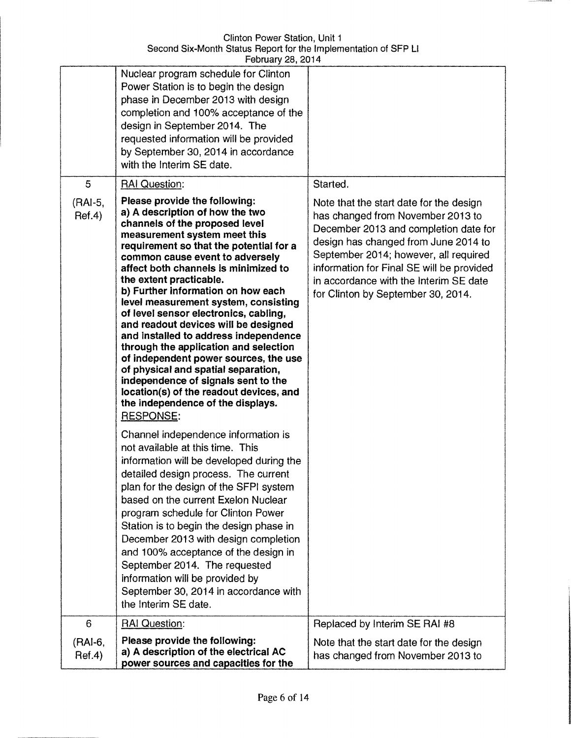|                        | Nuclear program schedule for Clinton<br>Power Station is to begin the design<br>phase in December 2013 with design<br>completion and 100% acceptance of the<br>design in September 2014. The<br>requested information will be provided<br>by September 30, 2014 in accordance<br>with the Interim SE date.                                                                                                                                                                                                                                                                                                                                                                                                                                                                                                                                                                                                                                                                                                                                                                                                                                                                                                                                                                                                                                    |                                                                                                                                                                                                                                                                                                                                                 |
|------------------------|-----------------------------------------------------------------------------------------------------------------------------------------------------------------------------------------------------------------------------------------------------------------------------------------------------------------------------------------------------------------------------------------------------------------------------------------------------------------------------------------------------------------------------------------------------------------------------------------------------------------------------------------------------------------------------------------------------------------------------------------------------------------------------------------------------------------------------------------------------------------------------------------------------------------------------------------------------------------------------------------------------------------------------------------------------------------------------------------------------------------------------------------------------------------------------------------------------------------------------------------------------------------------------------------------------------------------------------------------|-------------------------------------------------------------------------------------------------------------------------------------------------------------------------------------------------------------------------------------------------------------------------------------------------------------------------------------------------|
| 5<br>(RAI-5,<br>Ref.4) | <b>RAI Question:</b><br>Please provide the following:<br>a) A description of how the two<br>channels of the proposed level<br>measurement system meet this<br>requirement so that the potential for a<br>common cause event to adversely<br>affect both channels is minimized to<br>the extent practicable.<br>b) Further information on how each<br>level measurement system, consisting<br>of level sensor electronics, cabling,<br>and readout devices will be designed<br>and installed to address independence<br>through the application and selection<br>of independent power sources, the use<br>of physical and spatial separation,<br>independence of signals sent to the<br>location(s) of the readout devices, and<br>the independence of the displays.<br><b>RESPONSE:</b><br>Channel independence information is<br>not available at this time. This<br>information will be developed during the<br>detailed design process. The current<br>plan for the design of the SFPI system<br>based on the current Exelon Nuclear<br>program schedule for Clinton Power<br>Station is to begin the design phase in<br>December 2013 with design completion<br>and 100% acceptance of the design in<br>September 2014. The requested<br>information will be provided by<br>September 30, 2014 in accordance with<br>the Interim SE date. | Started.<br>Note that the start date for the design<br>has changed from November 2013 to<br>December 2013 and completion date for<br>design has changed from June 2014 to<br>September 2014; however, all required<br>information for Final SE will be provided<br>in accordance with the Interim SE date<br>for Clinton by September 30, 2014. |
| 6                      | <b>RAI Question:</b>                                                                                                                                                                                                                                                                                                                                                                                                                                                                                                                                                                                                                                                                                                                                                                                                                                                                                                                                                                                                                                                                                                                                                                                                                                                                                                                          | Replaced by Interim SE RAI #8                                                                                                                                                                                                                                                                                                                   |
| (RAI-6,<br>Ref.4)      | Please provide the following:<br>a) A description of the electrical AC<br>power sources and capacities for the                                                                                                                                                                                                                                                                                                                                                                                                                                                                                                                                                                                                                                                                                                                                                                                                                                                                                                                                                                                                                                                                                                                                                                                                                                | Note that the start date for the design<br>has changed from November 2013 to                                                                                                                                                                                                                                                                    |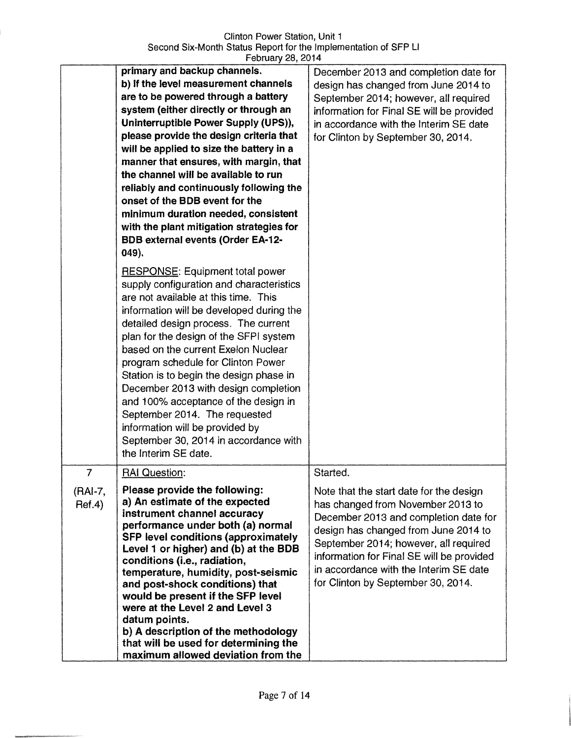Clinton Power Station, Unit 1 Second Six-Month Status Report for the Implementation of SFP Ll February 28, 2014

|                | primary and backup channels.                                                    | December 2013 and completion date for     |
|----------------|---------------------------------------------------------------------------------|-------------------------------------------|
|                | b) If the level measurement channels                                            | design has changed from June 2014 to      |
|                | are to be powered through a battery                                             | September 2014; however, all required     |
|                | system (either directly or through an                                           | information for Final SE will be provided |
|                | Uninterruptible Power Supply (UPS)),                                            | in accordance with the Interim SE date    |
|                | please provide the design criteria that                                         | for Clinton by September 30, 2014.        |
|                | will be applied to size the battery in a                                        |                                           |
|                | manner that ensures, with margin, that                                          |                                           |
|                | the channel will be available to run                                            |                                           |
|                | reliably and continuously following the                                         |                                           |
|                | onset of the BDB event for the                                                  |                                           |
|                | minimum duration needed, consistent                                             |                                           |
|                | with the plant mitigation strategies for                                        |                                           |
|                | <b>BDB external events (Order EA-12-</b>                                        |                                           |
|                | 049).                                                                           |                                           |
|                |                                                                                 |                                           |
|                | <b>RESPONSE: Equipment total power</b>                                          |                                           |
|                | supply configuration and characteristics                                        |                                           |
|                | are not available at this time. This                                            |                                           |
|                | information will be developed during the                                        |                                           |
|                | detailed design process. The current                                            |                                           |
|                | plan for the design of the SFPI system<br>based on the current Exelon Nuclear   |                                           |
|                |                                                                                 |                                           |
|                | program schedule for Clinton Power                                              |                                           |
|                | Station is to begin the design phase in<br>December 2013 with design completion |                                           |
|                | and 100% acceptance of the design in                                            |                                           |
|                | September 2014. The requested                                                   |                                           |
|                | information will be provided by                                                 |                                           |
|                | September 30, 2014 in accordance with                                           |                                           |
|                | the Interim SE date.                                                            |                                           |
|                |                                                                                 |                                           |
| $\overline{7}$ | <b>RAI Question:</b>                                                            | Started.                                  |
| (RAI-7,        | Please provide the following:                                                   | Note that the start date for the design   |
| Ref.4)         | a) An estimate of the expected                                                  | has changed from November 2013 to         |
|                | instrument channel accuracy                                                     | December 2013 and completion date for     |
|                | performance under both (a) normal<br><b>SFP level conditions (approximately</b> | design has changed from June 2014 to      |
|                | Level 1 or higher) and (b) at the BDB                                           | September 2014; however, all required     |
|                | conditions (i.e., radiation,                                                    | information for Final SE will be provided |
|                | temperature, humidity, post-seismic                                             | in accordance with the Interim SE date    |
|                | and post-shock conditions) that                                                 | for Clinton by September 30, 2014.        |
|                | would be present if the SFP level                                               |                                           |
|                | were at the Level 2 and Level 3                                                 |                                           |
|                | datum points.                                                                   |                                           |
|                | b) A description of the methodology                                             |                                           |
|                | that will be used for determining the                                           |                                           |
|                | maximum allowed deviation from the                                              |                                           |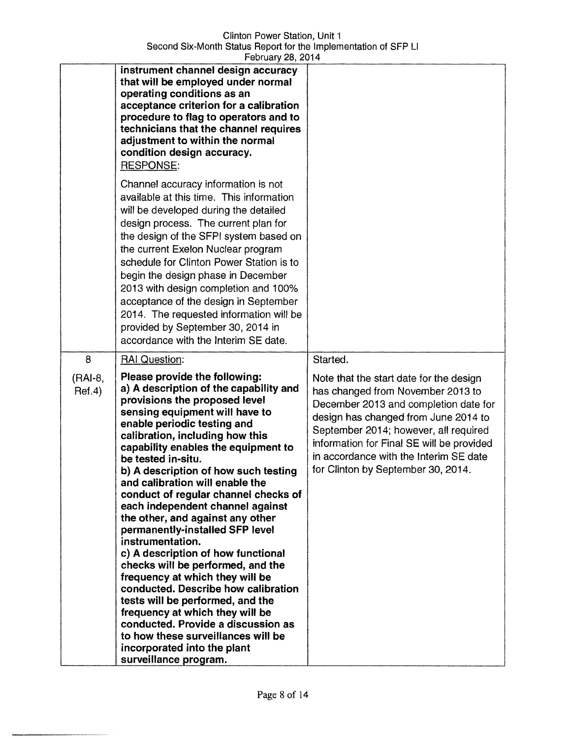Clinton Power Station, Unit 1 Second Six-Month Status Report for the Implementation of SFP Ll February 28, 2014

|                        | instrument channel design accuracy<br>that will be employed under normal<br>operating conditions as an<br>acceptance criterion for a calibration<br>procedure to flag to operators and to<br>technicians that the channel requires<br>adjustment to within the normal<br>condition design accuracy.<br><b>RESPONSE:</b>                                                                                                                                                                                                                                                                                                                                                                                                                                                                                                                                     |                                                                                                                                                                                                                                                                                                                                                 |
|------------------------|-------------------------------------------------------------------------------------------------------------------------------------------------------------------------------------------------------------------------------------------------------------------------------------------------------------------------------------------------------------------------------------------------------------------------------------------------------------------------------------------------------------------------------------------------------------------------------------------------------------------------------------------------------------------------------------------------------------------------------------------------------------------------------------------------------------------------------------------------------------|-------------------------------------------------------------------------------------------------------------------------------------------------------------------------------------------------------------------------------------------------------------------------------------------------------------------------------------------------|
|                        | Channel accuracy information is not<br>available at this time. This information<br>will be developed during the detailed<br>design process. The current plan for<br>the design of the SFPI system based on<br>the current Exelon Nuclear program<br>schedule for Clinton Power Station is to<br>begin the design phase in December<br>2013 with design completion and 100%<br>acceptance of the design in September<br>2014. The requested information will be<br>provided by September 30, 2014 in<br>accordance with the Interim SE date.                                                                                                                                                                                                                                                                                                                 |                                                                                                                                                                                                                                                                                                                                                 |
| 8<br>(RAI-8,<br>Ref.4) | <b>RAI Question:</b><br>Please provide the following:<br>a) A description of the capability and<br>provisions the proposed level<br>sensing equipment will have to<br>enable periodic testing and<br>calibration, including how this<br>capability enables the equipment to<br>be tested in-situ.<br>b) A description of how such testing<br>and calibration will enable the<br>conduct of regular channel checks of<br>each independent channel against<br>the other, and against any other<br>permanently-installed SFP level<br>instrumentation.<br>c) A description of how functional<br>checks will be performed, and the<br>frequency at which they will be<br>conducted. Describe how calibration<br>tests will be performed, and the<br>frequency at which they will be<br>conducted. Provide a discussion as<br>to how these surveillances will be | Started.<br>Note that the start date for the design<br>has changed from November 2013 to<br>December 2013 and completion date for<br>design has changed from June 2014 to<br>September 2014; however, all required<br>information for Final SE will be provided<br>in accordance with the Interim SE date<br>for Clinton by September 30, 2014. |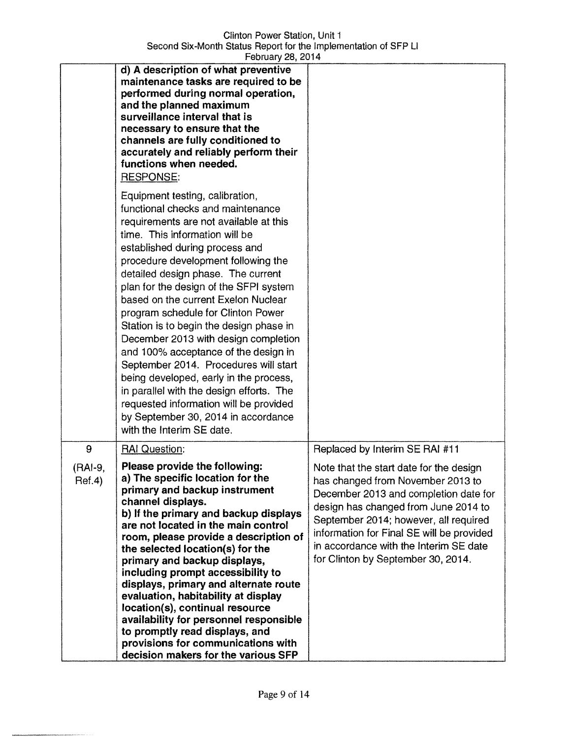Clinton Power Station, Unit 1 Second Six-Month Status Report for the Implementation of SFP U February 28, 2014

|                        | d) A description of what preventive<br>maintenance tasks are required to be<br>performed during normal operation,<br>and the planned maximum<br>surveillance interval that is<br>necessary to ensure that the<br>channels are fully conditioned to<br>accurately and reliably perform their<br>functions when needed.<br><b>RESPONSE:</b>                                                                                                                                                                                                                                                                                                                                                                                                                      |                                                                                                                                                                                                                                                                                                                                                                       |
|------------------------|----------------------------------------------------------------------------------------------------------------------------------------------------------------------------------------------------------------------------------------------------------------------------------------------------------------------------------------------------------------------------------------------------------------------------------------------------------------------------------------------------------------------------------------------------------------------------------------------------------------------------------------------------------------------------------------------------------------------------------------------------------------|-----------------------------------------------------------------------------------------------------------------------------------------------------------------------------------------------------------------------------------------------------------------------------------------------------------------------------------------------------------------------|
|                        | Equipment testing, calibration,<br>functional checks and maintenance<br>requirements are not available at this<br>time. This information will be<br>established during process and<br>procedure development following the<br>detailed design phase. The current<br>plan for the design of the SFPI system<br>based on the current Exelon Nuclear<br>program schedule for Clinton Power<br>Station is to begin the design phase in<br>December 2013 with design completion<br>and 100% acceptance of the design in<br>September 2014. Procedures will start<br>being developed, early in the process,<br>in parallel with the design efforts. The<br>requested information will be provided<br>by September 30, 2014 in accordance<br>with the Interim SE date. |                                                                                                                                                                                                                                                                                                                                                                       |
| 9<br>(RAI-9,<br>Ref.4) | <b>RAI Question:</b><br>Please provide the following:<br>a) The specific location for the<br>primary and backup instrument<br>channel displays.<br>b) If the primary and backup displays<br>are not located in the main control<br>room, please provide a description of<br>the selected location(s) for the<br>primary and backup displays,<br>including prompt accessibility to<br>displays, primary and alternate route<br>evaluation, habitability at display<br>location(s), continual resource<br>availability for personnel responsible<br>to promptly read displays, and<br>provisions for communications with<br>decision makers for the various SFP                                                                                                  | Replaced by Interim SE RAI #11<br>Note that the start date for the design<br>has changed from November 2013 to<br>December 2013 and completion date for<br>design has changed from June 2014 to<br>September 2014; however, all required<br>information for Final SE will be provided<br>in accordance with the Interim SE date<br>for Clinton by September 30, 2014. |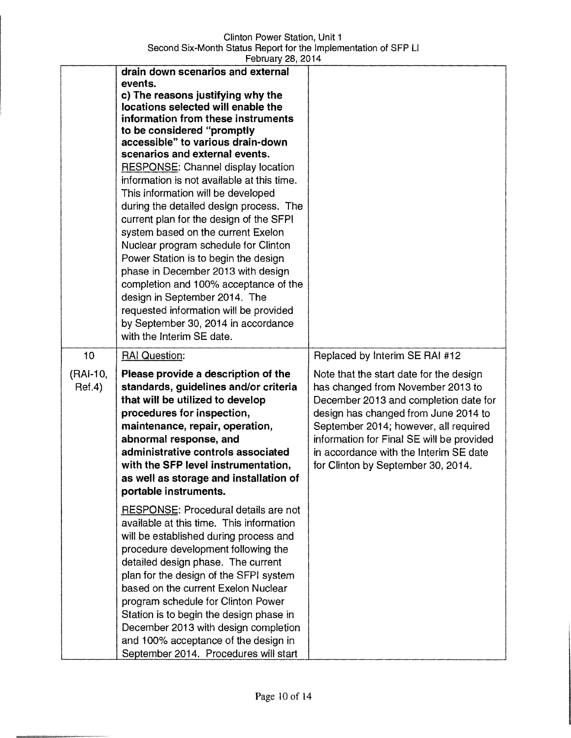Clinton Power Station, Unit 1 Second Six-Month Status Report for the Implementation of SFP Ll February 28, 2014

|                          | drain down scenarios and external<br>events.<br>c) The reasons justifying why the<br>locations selected will enable the<br>information from these instruments<br>to be considered "promptly<br>accessible" to various drain-down<br>scenarios and external events.<br><b>RESPONSE:</b> Channel display location<br>information is not available at this time.<br>This information will be developed<br>during the detailed design process. The<br>current plan for the design of the SFPI<br>system based on the current Exelon<br>Nuclear program schedule for Clinton<br>Power Station is to begin the design<br>phase in December 2013 with design<br>completion and 100% acceptance of the<br>design in September 2014. The<br>requested information will be provided<br>by September 30, 2014 in accordance<br>with the Interim SE date. |                                                                                                                                                                                                                                                                                                                                                                       |
|--------------------------|-----------------------------------------------------------------------------------------------------------------------------------------------------------------------------------------------------------------------------------------------------------------------------------------------------------------------------------------------------------------------------------------------------------------------------------------------------------------------------------------------------------------------------------------------------------------------------------------------------------------------------------------------------------------------------------------------------------------------------------------------------------------------------------------------------------------------------------------------|-----------------------------------------------------------------------------------------------------------------------------------------------------------------------------------------------------------------------------------------------------------------------------------------------------------------------------------------------------------------------|
| 10<br>(RAI-10,<br>Ref.4) | <b>RAI Question:</b><br>Please provide a description of the<br>standards, guidelines and/or criteria<br>that will be utilized to develop<br>procedures for inspection,<br>maintenance, repair, operation,<br>abnormal response, and<br>administrative controls associated<br>with the SFP level instrumentation,<br>as well as storage and installation of<br>portable instruments.                                                                                                                                                                                                                                                                                                                                                                                                                                                           | Replaced by Interim SE RAI #12<br>Note that the start date for the design<br>has changed from November 2013 to<br>December 2013 and completion date for<br>design has changed from June 2014 to<br>September 2014; however, all required<br>information for Final SE will be provided<br>in accordance with the Interim SE date<br>for Clinton by September 30, 2014. |
|                          | RESPONSE: Procedural details are not<br>available at this time. This information<br>will be established during process and<br>procedure development following the<br>detailed design phase. The current<br>plan for the design of the SFPI system<br>based on the current Exelon Nuclear<br>program schedule for Clinton Power<br>Station is to begin the design phase in<br>December 2013 with design completion<br>and 100% acceptance of the design in<br>September 2014. Procedures will start                                                                                                                                                                                                                                                                                                                                            |                                                                                                                                                                                                                                                                                                                                                                       |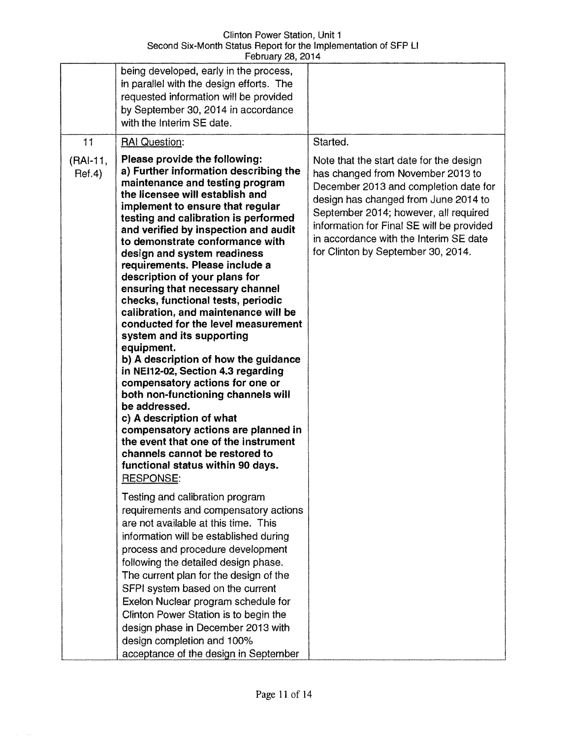| February 28, 2014  |                                                                                                                                                                                                                                                                                                                                                                                                                                                                                                                                                                                                                                                                                                                                                                                                                                                                                                                                                                                                                           |                                                                                                                                                                                                                                                                                                                                     |  |  |
|--------------------|---------------------------------------------------------------------------------------------------------------------------------------------------------------------------------------------------------------------------------------------------------------------------------------------------------------------------------------------------------------------------------------------------------------------------------------------------------------------------------------------------------------------------------------------------------------------------------------------------------------------------------------------------------------------------------------------------------------------------------------------------------------------------------------------------------------------------------------------------------------------------------------------------------------------------------------------------------------------------------------------------------------------------|-------------------------------------------------------------------------------------------------------------------------------------------------------------------------------------------------------------------------------------------------------------------------------------------------------------------------------------|--|--|
|                    | being developed, early in the process,<br>in parallel with the design efforts. The<br>requested information will be provided<br>by September 30, 2014 in accordance<br>with the Interim SE date.                                                                                                                                                                                                                                                                                                                                                                                                                                                                                                                                                                                                                                                                                                                                                                                                                          |                                                                                                                                                                                                                                                                                                                                     |  |  |
| 11                 | <b>RAI Question:</b>                                                                                                                                                                                                                                                                                                                                                                                                                                                                                                                                                                                                                                                                                                                                                                                                                                                                                                                                                                                                      | Started.                                                                                                                                                                                                                                                                                                                            |  |  |
| (RAI-11,<br>Ref.4) | Please provide the following:<br>a) Further information describing the<br>maintenance and testing program<br>the licensee will establish and<br>implement to ensure that regular<br>testing and calibration is performed<br>and verified by inspection and audit<br>to demonstrate conformance with<br>design and system readiness<br>requirements. Please include a<br>description of your plans for<br>ensuring that necessary channel<br>checks, functional tests, periodic<br>calibration, and maintenance will be<br>conducted for the level measurement<br>system and its supporting<br>equipment.<br>b) A description of how the guidance<br>in NEI12-02, Section 4.3 regarding<br>compensatory actions for one or<br>both non-functioning channels will<br>be addressed.<br>c) A description of what<br>compensatory actions are planned in<br>the event that one of the instrument<br>channels cannot be restored to<br>functional status within 90 days.<br><b>RESPONSE:</b><br>Testing and calibration program | Note that the start date for the design<br>has changed from November 2013 to<br>December 2013 and completion date for<br>design has changed from June 2014 to<br>September 2014; however, all required<br>information for Final SE will be provided<br>in accordance with the Interim SE date<br>for Clinton by September 30, 2014. |  |  |
|                    | requirements and compensatory actions<br>are not available at this time. This<br>information will be established during<br>process and procedure development<br>following the detailed design phase.<br>The current plan for the design of the<br>SFPI system based on the current                                                                                                                                                                                                                                                                                                                                                                                                                                                                                                                                                                                                                                                                                                                                        |                                                                                                                                                                                                                                                                                                                                     |  |  |
|                    | Exelon Nuclear program schedule for<br>Clinton Power Station is to begin the<br>design phase in December 2013 with<br>design completion and 100%<br>acceptance of the design in September                                                                                                                                                                                                                                                                                                                                                                                                                                                                                                                                                                                                                                                                                                                                                                                                                                 |                                                                                                                                                                                                                                                                                                                                     |  |  |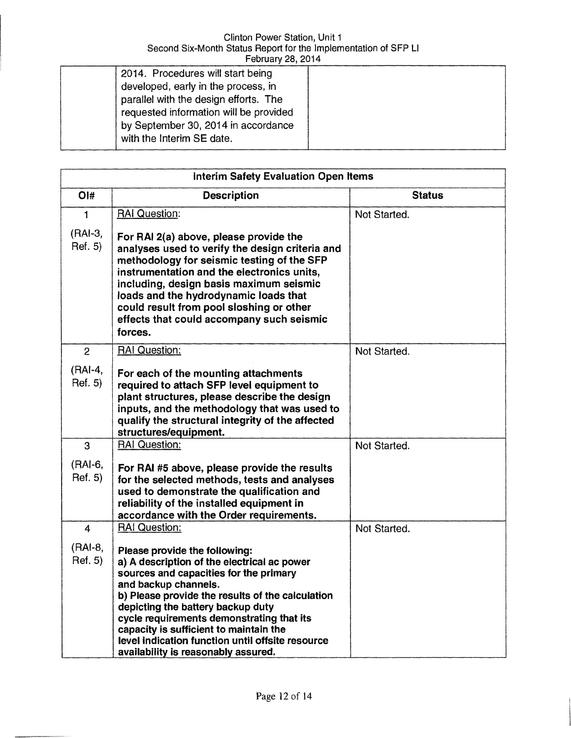| 2014. Procedures will start being                                            |  |
|------------------------------------------------------------------------------|--|
| developed, early in the process, in<br>parallel with the design efforts. The |  |
| requested information will be provided                                       |  |
| by September 30, 2014 in accordance                                          |  |
| with the Interim SE date.                                                    |  |

| Interim Safety Evaluation Open Items |                                                                                                                                                                                                                                                                                                                                                                                                                           |               |  |  |
|--------------------------------------|---------------------------------------------------------------------------------------------------------------------------------------------------------------------------------------------------------------------------------------------------------------------------------------------------------------------------------------------------------------------------------------------------------------------------|---------------|--|--|
| $O$ <sup>#</sup>                     | <b>Description</b>                                                                                                                                                                                                                                                                                                                                                                                                        | <b>Status</b> |  |  |
| $\mathbf{1}$                         | <b>RAI Question:</b>                                                                                                                                                                                                                                                                                                                                                                                                      | Not Started.  |  |  |
| $(RAI-3,$<br>Ref. 5)                 | For RAI 2(a) above, please provide the<br>analyses used to verify the design criteria and<br>methodology for seismic testing of the SFP<br>instrumentation and the electronics units,<br>including, design basis maximum seismic<br>loads and the hydrodynamic loads that<br>could result from pool sloshing or other<br>effects that could accompany such seismic<br>forces.                                             |               |  |  |
| $\overline{2}$                       | <b>RAI Question:</b>                                                                                                                                                                                                                                                                                                                                                                                                      | Not Started.  |  |  |
| (RAI-4,<br>Ref. 5)                   | For each of the mounting attachments<br>required to attach SFP level equipment to<br>plant structures, please describe the design<br>inputs, and the methodology that was used to<br>qualify the structural integrity of the affected<br>structures/equipment.                                                                                                                                                            |               |  |  |
| 3                                    | <b>RAI Question:</b>                                                                                                                                                                                                                                                                                                                                                                                                      | Not Started.  |  |  |
| (RAI-6,<br>Ref. 5)                   | For RAI #5 above, please provide the results<br>for the selected methods, tests and analyses<br>used to demonstrate the qualification and<br>reliability of the installed equipment in<br>accordance with the Order requirements.                                                                                                                                                                                         |               |  |  |
| $\overline{4}$                       | <b>RAI Question:</b>                                                                                                                                                                                                                                                                                                                                                                                                      | Not Started.  |  |  |
| (RAI-8,<br>Ref. 5)                   | Please provide the following:<br>a) A description of the electrical ac power<br>sources and capacities for the primary<br>and backup channels.<br>b) Please provide the results of the calculation<br>depicting the battery backup duty<br>cycle requirements demonstrating that its<br>capacity is sufficient to maintain the<br>level indication function until offsite resource<br>availability is reasonably assured. |               |  |  |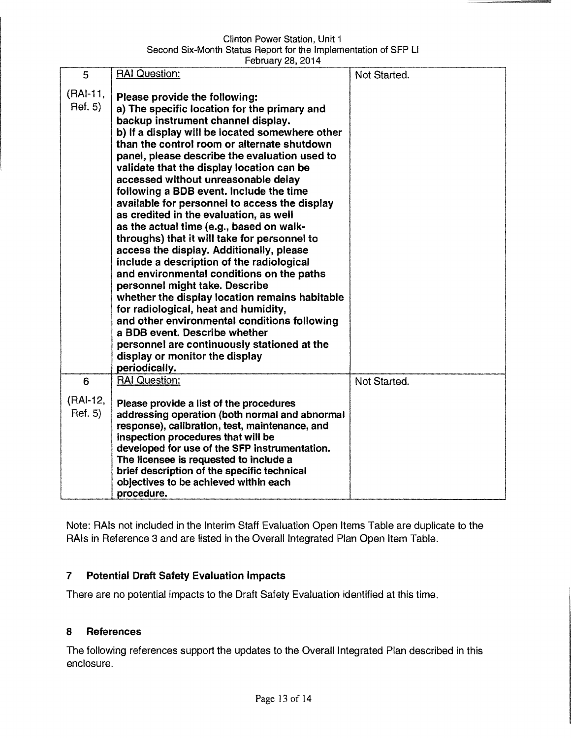Clinton Power Station, Unit 1 Second Six-Month Status Report for the Implementation of SFP Ll February 28, 2014

|                          | $1.001001$ y $-0.011$                                                                                                                                                                                                                                                                                                                                                                                                                                                                                                                                                                                                                                                                                                                                                                                                                                                                                                                                                   |              |
|--------------------------|-------------------------------------------------------------------------------------------------------------------------------------------------------------------------------------------------------------------------------------------------------------------------------------------------------------------------------------------------------------------------------------------------------------------------------------------------------------------------------------------------------------------------------------------------------------------------------------------------------------------------------------------------------------------------------------------------------------------------------------------------------------------------------------------------------------------------------------------------------------------------------------------------------------------------------------------------------------------------|--------------|
| 5<br>(RAI-11,<br>Ref. 5) | <b>RAI Question:</b><br>Please provide the following:<br>a) The specific location for the primary and<br>backup instrument channel display.<br>b) If a display will be located somewhere other<br>than the control room or alternate shutdown<br>panel, please describe the evaluation used to<br>validate that the display location can be<br>accessed without unreasonable delay<br>following a BDB event. Include the time<br>available for personnel to access the display<br>as credited in the evaluation, as well<br>as the actual time (e.g., based on walk-<br>throughs) that it will take for personnel to<br>access the display. Additionally, please<br>include a description of the radiological<br>and environmental conditions on the paths<br>personnel might take. Describe<br>whether the display location remains habitable<br>for radiological, heat and humidity,<br>and other environmental conditions following<br>a BDB event. Describe whether | Not Started. |
|                          | personnel are continuously stationed at the<br>display or monitor the display<br>periodically.                                                                                                                                                                                                                                                                                                                                                                                                                                                                                                                                                                                                                                                                                                                                                                                                                                                                          |              |
| 6<br>(RAI-12,<br>Ref. 5) | <b>RAI Question:</b><br>Please provide a list of the procedures<br>addressing operation (both normal and abnormal<br>response), calibration, test, maintenance, and<br>inspection procedures that will be<br>developed for use of the SFP instrumentation.<br>The licensee is requested to include a<br>brief description of the specific technical<br>objectives to be achieved within each<br>procedure.                                                                                                                                                                                                                                                                                                                                                                                                                                                                                                                                                              | Not Started. |

Note: RAis not included in the Interim Staff Evaluation Open Items Table are duplicate to the RAis in Reference 3 and are listed in the Overall Integrated Plan Open Item Table.

### 7 Potential Draft Safety Evaluation Impacts

There are no potential impacts to the Draft Safety Evaluation identified at this time.

#### 8 References

The following references support the updates to the Overall Integrated Plan described in this enclosure.